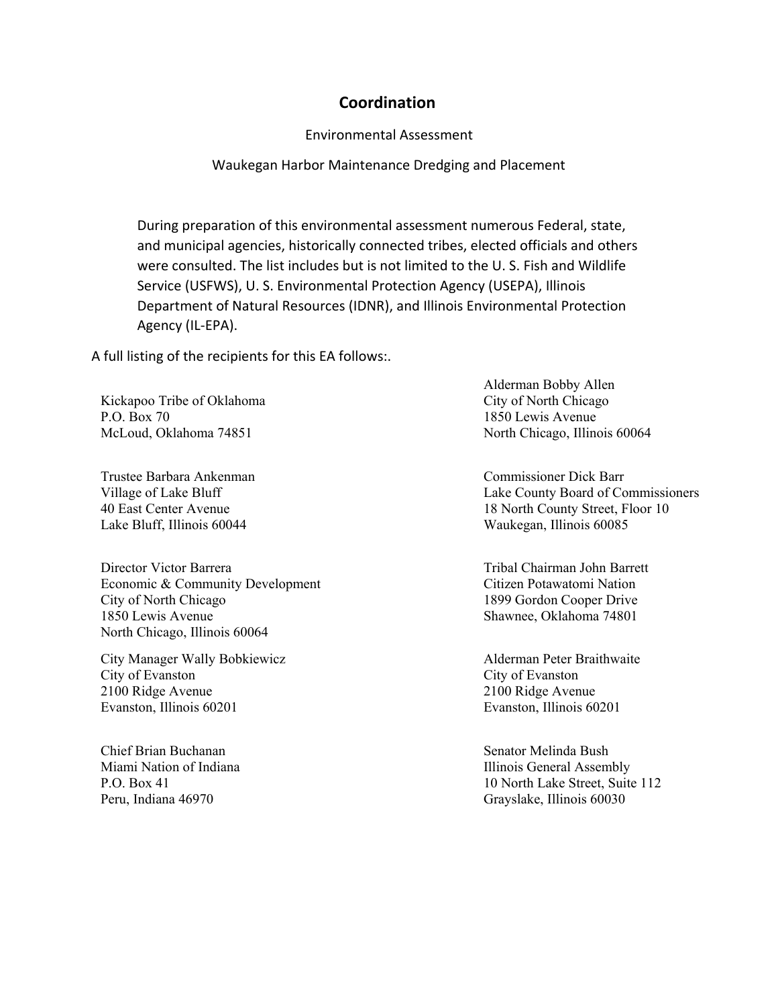## **Coordination**

Environmental Assessment

Waukegan Harbor Maintenance Dredging and Placement

During preparation of this environmental assessment numerous Federal, state, and municipal agencies, historically connected tribes, elected officials and others were consulted. The list includes but is not limited to the U. S. Fish and Wildlife Service (USFWS), U. S. Environmental Protection Agency (USEPA), Illinois Department of Natural Resources (IDNR), and Illinois Environmental Protection Agency (IL-EPA).

A full listing of the recipients for this EA follows:.

Kickapoo Tribe of Oklahoma P.O. Box 70 McLoud, Oklahoma 74851

Trustee Barbara Ankenman Village of Lake Bluff 40 East Center Avenue Lake Bluff, Illinois 60044

Director Victor Barrera Economic & Community Development City of North Chicago 1850 Lewis Avenue North Chicago, Illinois 60064

City Manager Wally Bobkiewicz City of Evanston 2100 Ridge Avenue Evanston, Illinois 60201

Chief Brian Buchanan Miami Nation of Indiana P.O. Box 41 Peru, Indiana 46970

Alderman Bobby Allen City of North Chicago 1850 Lewis Avenue North Chicago, Illinois 60064

Commissioner Dick Barr Lake County Board of Commissioners 18 North County Street, Floor 10 Waukegan, Illinois 60085

Tribal Chairman John Barrett Citizen Potawatomi Nation 1899 Gordon Cooper Drive Shawnee, Oklahoma 74801

Alderman Peter Braithwaite City of Evanston 2100 Ridge Avenue Evanston, Illinois 60201

Senator Melinda Bush Illinois General Assembly 10 North Lake Street, Suite 112 Grayslake, Illinois 60030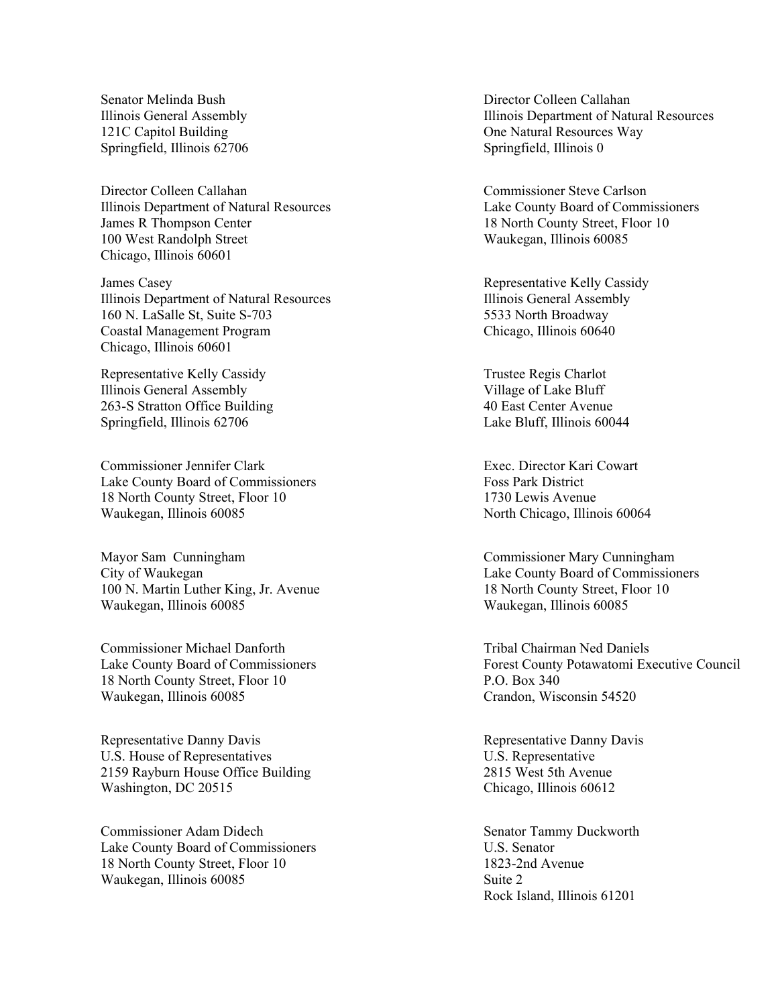Senator Melinda Bush Illinois General Assembly 121C Capitol Building Springfield, Illinois 62706

Director Colleen Callahan Illinois Department of Natural Resources James R Thompson Center 100 West Randolph Street Chicago, Illinois 60601

James Casey Illinois Department of Natural Resources 160 N. LaSalle St, Suite S-703 Coastal Management Program Chicago, Illinois 60601

Representative Kelly Cassidy Illinois General Assembly 263-S Stratton Office Building Springfield, Illinois 62706

Commissioner Jennifer Clark Lake County Board of Commissioners 18 North County Street, Floor 10 Waukegan, Illinois 60085

Mayor Sam Cunningham City of Waukegan 100 N. Martin Luther King, Jr. Avenue Waukegan, Illinois 60085

Commissioner Michael Danforth Lake County Board of Commissioners 18 North County Street, Floor 10 Waukegan, Illinois 60085

Representative Danny Davis U.S. House of Representatives 2159 Rayburn House Office Building Washington, DC 20515

Commissioner Adam Didech Lake County Board of Commissioners 18 North County Street, Floor 10 Waukegan, Illinois 60085

Director Colleen Callahan Illinois Department of Natural Resources One Natural Resources Way Springfield, Illinois 0

Commissioner Steve Carlson Lake County Board of Commissioners 18 North County Street, Floor 10 Waukegan, Illinois 60085

Representative Kelly Cassidy Illinois General Assembly 5533 North Broadway Chicago, Illinois 60640

Trustee Regis Charlot Village of Lake Bluff 40 East Center Avenue Lake Bluff, Illinois 60044

Exec. Director Kari Cowart Foss Park District 1730 Lewis Avenue North Chicago, Illinois 60064

Commissioner Mary Cunningham Lake County Board of Commissioners 18 North County Street, Floor 10 Waukegan, Illinois 60085

Tribal Chairman Ned Daniels Forest County Potawatomi Executive Council P.O. Box 340 Crandon, Wisconsin 54520

Representative Danny Davis U.S. Representative 2815 West 5th Avenue Chicago, Illinois 60612

Senator Tammy Duckworth U.S. Senator 1823-2nd Avenue Suite 2 Rock Island, Illinois 61201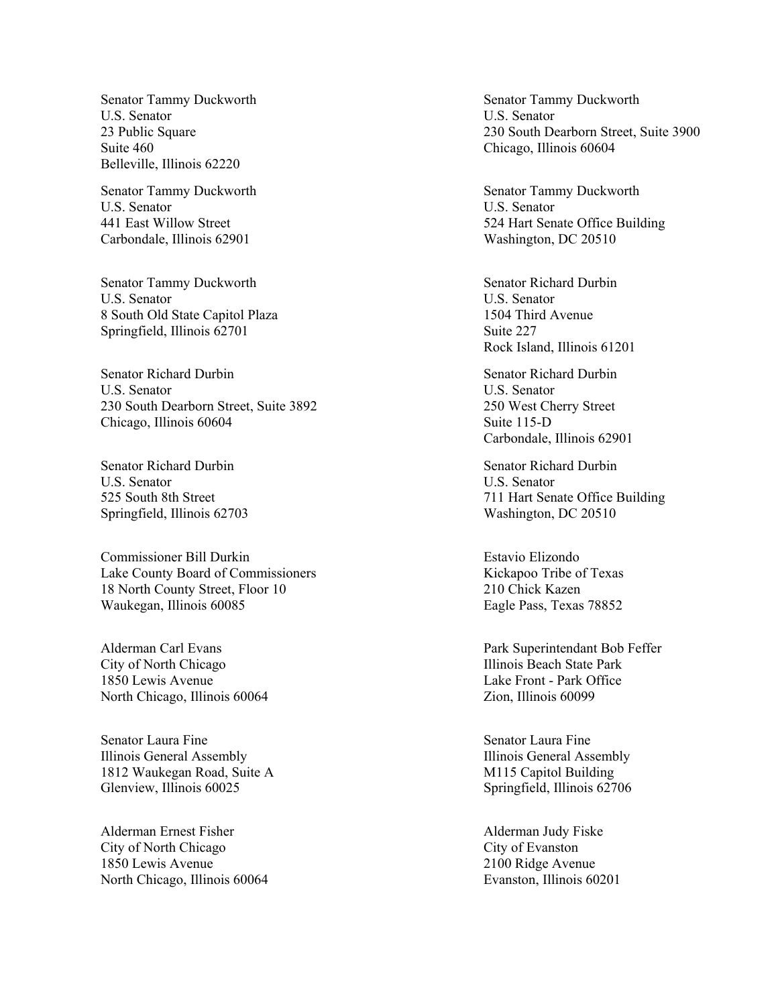Senator Tammy Duckworth U.S. Senator 23 Public Square Suite 460 Belleville, Illinois 62220

Senator Tammy Duckworth U.S. Senator 441 East Willow Street Carbondale, Illinois 62901

Senator Tammy Duckworth U.S. Senator 8 South Old State Capitol Plaza Springfield, Illinois 62701

Senator Richard Durbin U.S. Senator 230 South Dearborn Street, Suite 3892 Chicago, Illinois 60604

Senator Richard Durbin U.S. Senator 525 South 8th Street Springfield, Illinois 62703

Commissioner Bill Durkin Lake County Board of Commissioners 18 North County Street, Floor 10 Waukegan, Illinois 60085

Alderman Carl Evans City of North Chicago 1850 Lewis Avenue North Chicago, Illinois 60064

Senator Laura Fine Illinois General Assembly 1812 Waukegan Road, Suite A Glenview, Illinois 60025

Alderman Ernest Fisher City of North Chicago 1850 Lewis Avenue North Chicago, Illinois 60064

Senator Tammy Duckworth U.S. Senator 230 South Dearborn Street, Suite 3900 Chicago, Illinois 60604

Senator Tammy Duckworth U.S. Senator 524 Hart Senate Office Building Washington, DC 20510

Senator Richard Durbin U.S. Senator 1504 Third Avenue Suite 227 Rock Island, Illinois 61201

Senator Richard Durbin U.S. Senator 250 West Cherry Street Suite 115-D Carbondale, Illinois 62901

Senator Richard Durbin U.S. Senator 711 Hart Senate Office Building Washington, DC 20510

Estavio Elizondo Kickapoo Tribe of Texas 210 Chick Kazen Eagle Pass, Texas 78852

Park Superintendant Bob Feffer Illinois Beach State Park Lake Front - Park Office Zion, Illinois 60099

Senator Laura Fine Illinois General Assembly M115 Capitol Building Springfield, Illinois 62706

Alderman Judy Fiske City of Evanston 2100 Ridge Avenue Evanston, Illinois 60201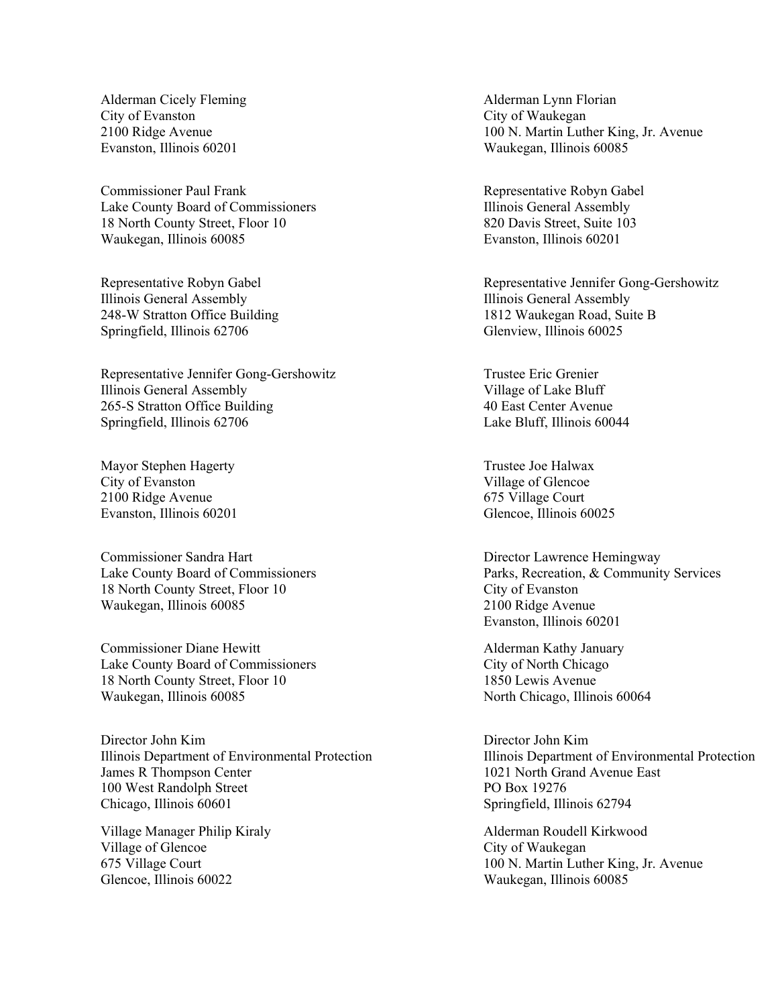Alderman Cicely Fleming City of Evanston 2100 Ridge Avenue Evanston, Illinois 60201

Commissioner Paul Frank Lake County Board of Commissioners 18 North County Street, Floor 10 Waukegan, Illinois 60085

Representative Robyn Gabel Illinois General Assembly 248-W Stratton Office Building Springfield, Illinois 62706

Representative Jennifer Gong-Gershowitz Illinois General Assembly 265-S Stratton Office Building Springfield, Illinois 62706

Mayor Stephen Hagerty City of Evanston 2100 Ridge Avenue Evanston, Illinois 60201

Commissioner Sandra Hart Lake County Board of Commissioners 18 North County Street, Floor 10 Waukegan, Illinois 60085

Commissioner Diane Hewitt Lake County Board of Commissioners 18 North County Street, Floor 10 Waukegan, Illinois 60085

Director John Kim Illinois Department of Environmental Protection James R Thompson Center 100 West Randolph Street Chicago, Illinois 60601

Village Manager Philip Kiraly Village of Glencoe 675 Village Court Glencoe, Illinois 60022

Alderman Lynn Florian City of Waukegan 100 N. Martin Luther King, Jr. Avenue Waukegan, Illinois 60085

Representative Robyn Gabel Illinois General Assembly 820 Davis Street, Suite 103 Evanston, Illinois 60201

Representative Jennifer Gong-Gershowitz Illinois General Assembly 1812 Waukegan Road, Suite B Glenview, Illinois 60025

Trustee Eric Grenier Village of Lake Bluff 40 East Center Avenue Lake Bluff, Illinois 60044

Trustee Joe Halwax Village of Glencoe 675 Village Court Glencoe, Illinois 60025

Director Lawrence Hemingway Parks, Recreation, & Community Services City of Evanston 2100 Ridge Avenue Evanston, Illinois 60201

Alderman Kathy January City of North Chicago 1850 Lewis Avenue North Chicago, Illinois 60064

Director John Kim Illinois Department of Environmental Protection 1021 North Grand Avenue East PO Box 19276 Springfield, Illinois 62794

Alderman Roudell Kirkwood City of Waukegan 100 N. Martin Luther King, Jr. Avenue Waukegan, Illinois 60085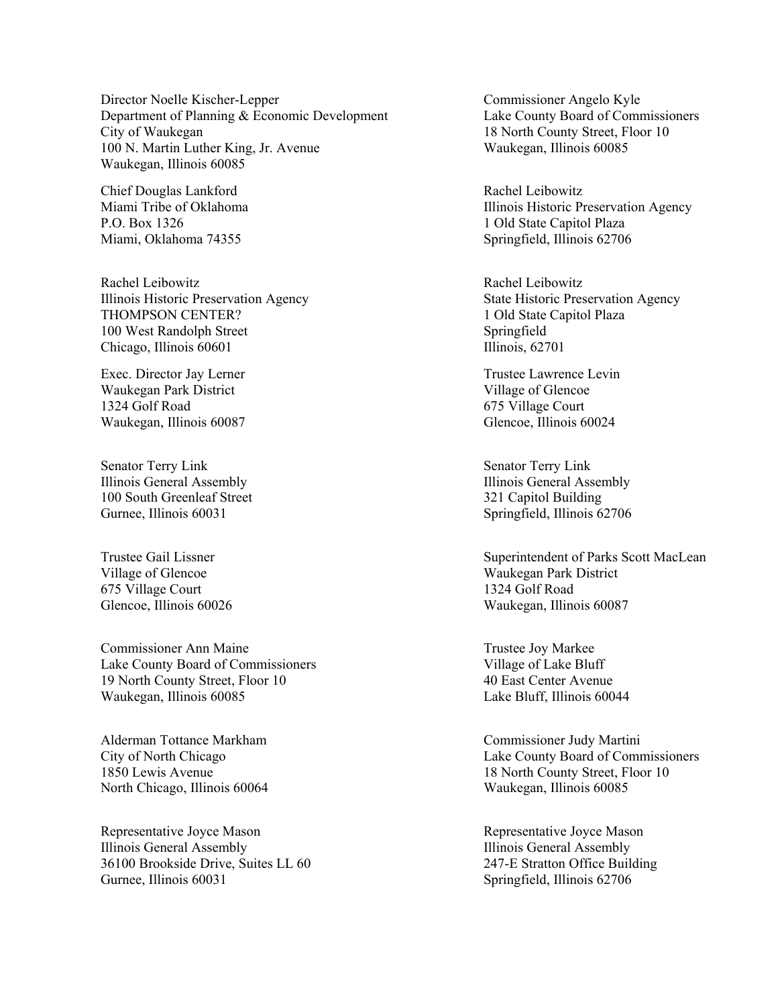Director Noelle Kischer-Lepper Department of Planning & Economic Development City of Waukegan 100 N. Martin Luther King, Jr. Avenue Waukegan, Illinois 60085

Chief Douglas Lankford Miami Tribe of Oklahoma P.O. Box 1326 Miami, Oklahoma 74355

Rachel Leibowitz Illinois Historic Preservation Agency THOMPSON CENTER? 100 West Randolph Street Chicago, Illinois 60601

Exec. Director Jay Lerner Waukegan Park District 1324 Golf Road Waukegan, Illinois 60087

Senator Terry Link Illinois General Assembly 100 South Greenleaf Street Gurnee, Illinois 60031

Trustee Gail Lissner Village of Glencoe 675 Village Court Glencoe, Illinois 60026

Commissioner Ann Maine Lake County Board of Commissioners 19 North County Street, Floor 10 Waukegan, Illinois 60085

Alderman Tottance Markham City of North Chicago 1850 Lewis Avenue North Chicago, Illinois 60064

Representative Joyce Mason Illinois General Assembly 36100 Brookside Drive, Suites LL 60 Gurnee, Illinois 60031

Commissioner Angelo Kyle Lake County Board of Commissioners 18 North County Street, Floor 10 Waukegan, Illinois 60085

Rachel Leibowitz Illinois Historic Preservation Agency 1 Old State Capitol Plaza Springfield, Illinois 62706

Rachel Leibowitz State Historic Preservation Agency 1 Old State Capitol Plaza Springfield Illinois, 62701

Trustee Lawrence Levin Village of Glencoe 675 Village Court Glencoe, Illinois 60024

Senator Terry Link Illinois General Assembly 321 Capitol Building Springfield, Illinois 62706

Superintendent of Parks Scott MacLean Waukegan Park District 1324 Golf Road Waukegan, Illinois 60087

Trustee Joy Markee Village of Lake Bluff 40 East Center Avenue Lake Bluff, Illinois 60044

Commissioner Judy Martini Lake County Board of Commissioners 18 North County Street, Floor 10 Waukegan, Illinois 60085

Representative Joyce Mason Illinois General Assembly 247-E Stratton Office Building Springfield, Illinois 62706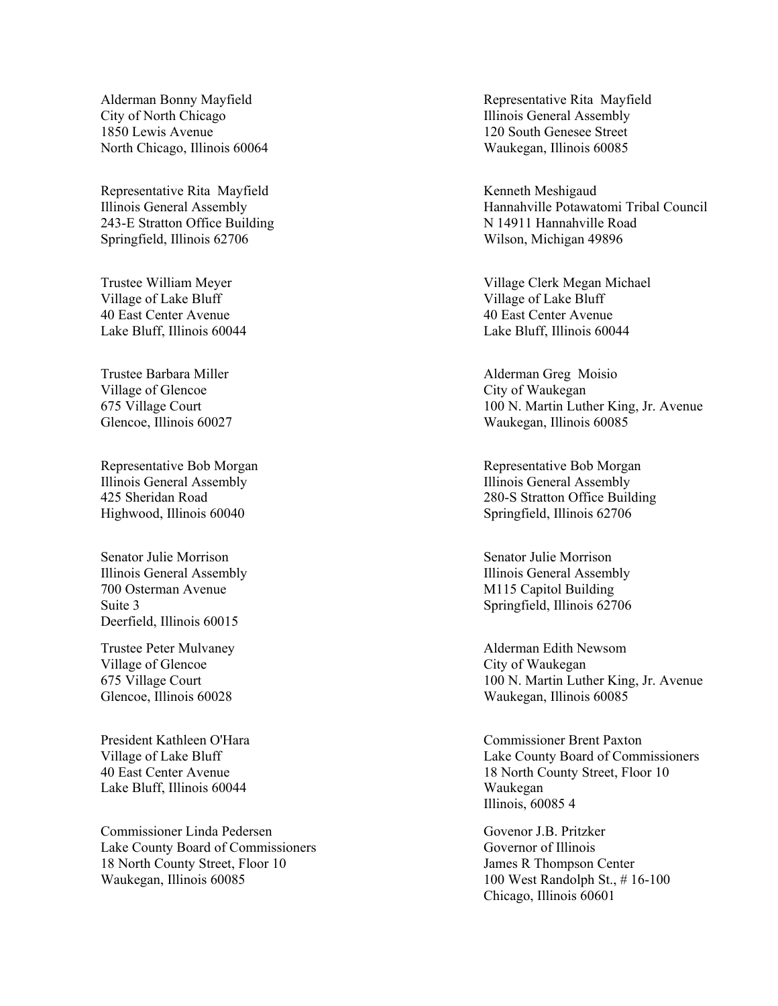Alderman Bonny Mayfield City of North Chicago 1850 Lewis Avenue North Chicago, Illinois 60064

Representative Rita Mayfield Illinois General Assembly 243-E Stratton Office Building Springfield, Illinois 62706

Trustee William Meyer Village of Lake Bluff 40 East Center Avenue Lake Bluff, Illinois 60044

Trustee Barbara Miller Village of Glencoe 675 Village Court Glencoe, Illinois 60027

Representative Bob Morgan Illinois General Assembly 425 Sheridan Road Highwood, Illinois 60040

Senator Julie Morrison Illinois General Assembly 700 Osterman Avenue Suite 3 Deerfield, Illinois 60015

Trustee Peter Mulvaney Village of Glencoe 675 Village Court Glencoe, Illinois 60028

President Kathleen O'Hara Village of Lake Bluff 40 East Center Avenue Lake Bluff, Illinois 60044

Commissioner Linda Pedersen Lake County Board of Commissioners 18 North County Street, Floor 10 Waukegan, Illinois 60085

Representative Rita Mayfield Illinois General Assembly 120 South Genesee Street Waukegan, Illinois 60085

Kenneth Meshigaud Hannahville Potawatomi Tribal Council N 14911 Hannahville Road Wilson, Michigan 49896

Village Clerk Megan Michael Village of Lake Bluff 40 East Center Avenue Lake Bluff, Illinois 60044

Alderman Greg Moisio City of Waukegan 100 N. Martin Luther King, Jr. Avenue Waukegan, Illinois 60085

Representative Bob Morgan Illinois General Assembly 280-S Stratton Office Building Springfield, Illinois 62706

Senator Julie Morrison Illinois General Assembly M115 Capitol Building Springfield, Illinois 62706

Alderman Edith Newsom City of Waukegan 100 N. Martin Luther King, Jr. Avenue Waukegan, Illinois 60085

Commissioner Brent Paxton Lake County Board of Commissioners 18 North County Street, Floor 10 Waukegan Illinois, 60085 4

Govenor J.B. Pritzker Governor of Illinois James R Thompson Center 100 West Randolph St., # 16-100 Chicago, Illinois 60601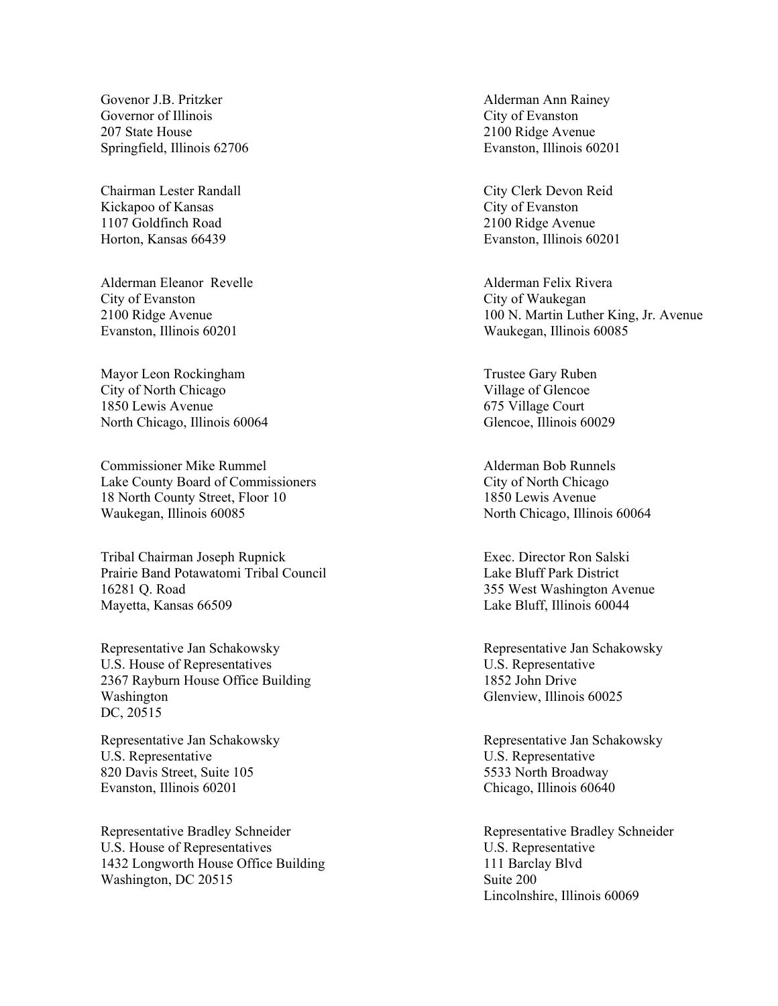Govenor J.B. Pritzker Governor of Illinois 207 State House Springfield, Illinois 62706

Chairman Lester Randall Kickapoo of Kansas 1107 Goldfinch Road Horton, Kansas 66439

Alderman Eleanor Revelle City of Evanston 2100 Ridge Avenue Evanston, Illinois 60201

Mayor Leon Rockingham City of North Chicago 1850 Lewis Avenue North Chicago, Illinois 60064

Commissioner Mike Rummel Lake County Board of Commissioners 18 North County Street, Floor 10 Waukegan, Illinois 60085

Tribal Chairman Joseph Rupnick Prairie Band Potawatomi Tribal Council 16281 Q. Road Mayetta, Kansas 66509

Representative Jan Schakowsky U.S. House of Representatives 2367 Rayburn House Office Building Washington DC, 20515

Representative Jan Schakowsky U.S. Representative 820 Davis Street, Suite 105 Evanston, Illinois 60201

Representative Bradley Schneider U.S. House of Representatives 1432 Longworth House Office Building Washington, DC 20515

Alderman Ann Rainey City of Evanston 2100 Ridge Avenue Evanston, Illinois 60201

City Clerk Devon Reid City of Evanston 2100 Ridge Avenue Evanston, Illinois 60201

Alderman Felix Rivera City of Waukegan 100 N. Martin Luther King, Jr. Avenue Waukegan, Illinois 60085

Trustee Gary Ruben Village of Glencoe 675 Village Court Glencoe, Illinois 60029

Alderman Bob Runnels City of North Chicago 1850 Lewis Avenue North Chicago, Illinois 60064

Exec. Director Ron Salski Lake Bluff Park District 355 West Washington Avenue Lake Bluff, Illinois 60044

Representative Jan Schakowsky U.S. Representative 1852 John Drive Glenview, Illinois 60025

Representative Jan Schakowsky U.S. Representative 5533 North Broadway Chicago, Illinois 60640

Representative Bradley Schneider U.S. Representative 111 Barclay Blvd Suite 200 Lincolnshire, Illinois 60069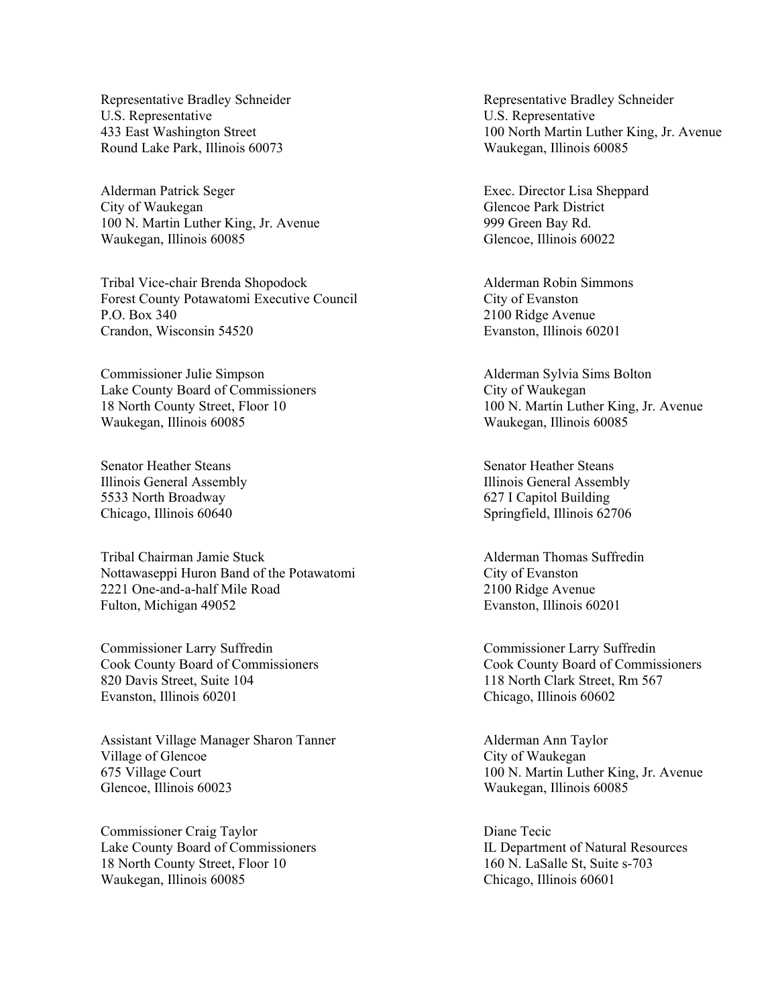Representative Bradley Schneider U.S. Representative 433 East Washington Street Round Lake Park, Illinois 60073

Alderman Patrick Seger City of Waukegan 100 N. Martin Luther King, Jr. Avenue Waukegan, Illinois 60085

Tribal Vice-chair Brenda Shopodock Forest County Potawatomi Executive Council P.O. Box 340 Crandon, Wisconsin 54520

Commissioner Julie Simpson Lake County Board of Commissioners 18 North County Street, Floor 10 Waukegan, Illinois 60085

Senator Heather Steans Illinois General Assembly 5533 North Broadway Chicago, Illinois 60640

Tribal Chairman Jamie Stuck Nottawaseppi Huron Band of the Potawatomi 2221 One-and-a-half Mile Road Fulton, Michigan 49052

Commissioner Larry Suffredin Cook County Board of Commissioners 820 Davis Street, Suite 104 Evanston, Illinois 60201

Assistant Village Manager Sharon Tanner Village of Glencoe 675 Village Court Glencoe, Illinois 60023

Commissioner Craig Taylor Lake County Board of Commissioners 18 North County Street, Floor 10 Waukegan, Illinois 60085

Representative Bradley Schneider U.S. Representative 100 North Martin Luther King, Jr. Avenue Waukegan, Illinois 60085

Exec. Director Lisa Sheppard Glencoe Park District 999 Green Bay Rd. Glencoe, Illinois 60022

Alderman Robin Simmons City of Evanston 2100 Ridge Avenue Evanston, Illinois 60201

Alderman Sylvia Sims Bolton City of Waukegan 100 N. Martin Luther King, Jr. Avenue Waukegan, Illinois 60085

Senator Heather Steans Illinois General Assembly 627 I Capitol Building Springfield, Illinois 62706

Alderman Thomas Suffredin City of Evanston 2100 Ridge Avenue Evanston, Illinois 60201

Commissioner Larry Suffredin Cook County Board of Commissioners 118 North Clark Street, Rm 567 Chicago, Illinois 60602

Alderman Ann Taylor City of Waukegan 100 N. Martin Luther King, Jr. Avenue Waukegan, Illinois 60085

Diane Tecic IL Department of Natural Resources 160 N. LaSalle St, Suite s-703 Chicago, Illinois 60601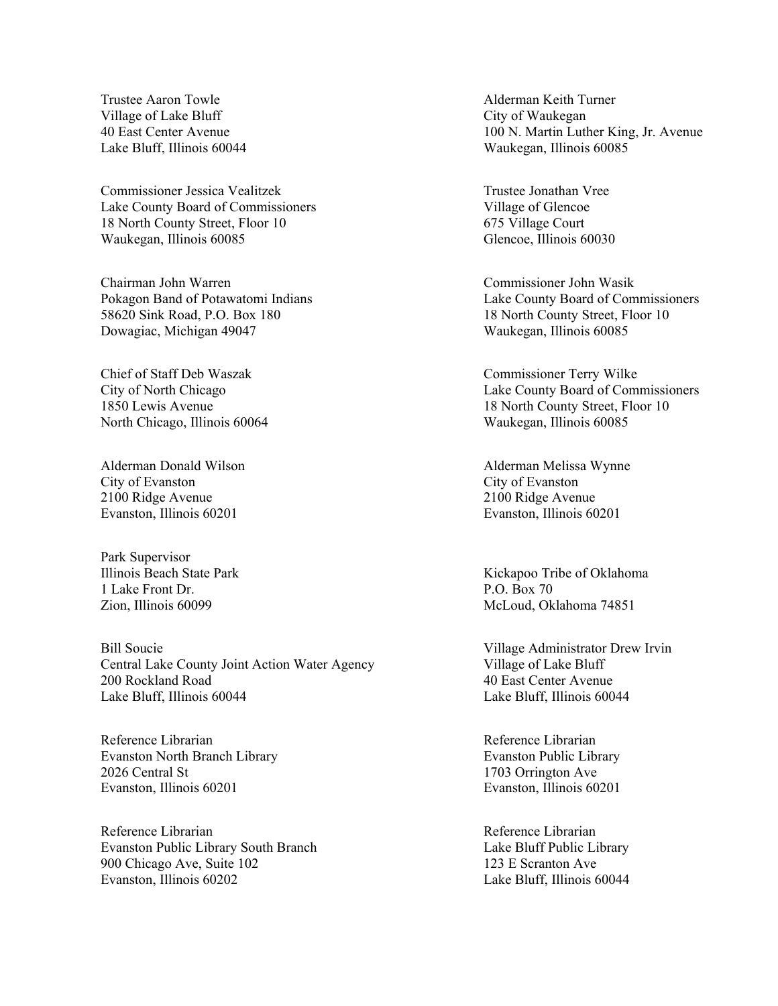Trustee Aaron Towle Village of Lake Bluff 40 East Center Avenue Lake Bluff, Illinois 60044

Commissioner Jessica Vealitzek Lake County Board of Commissioners 18 North County Street, Floor 10 Waukegan, Illinois 60085

Chairman John Warren Pokagon Band of Potawatomi Indians 58620 Sink Road, P.O. Box 180 Dowagiac, Michigan 49047

Chief of Staff Deb Waszak City of North Chicago 1850 Lewis Avenue North Chicago, Illinois 60064

Alderman Donald Wilson City of Evanston 2100 Ridge Avenue Evanston, Illinois 60201

Park Supervisor Illinois Beach State Park 1 Lake Front Dr. Zion, Illinois 60099

Bill Soucie Central Lake County Joint Action Water Agency 200 Rockland Road Lake Bluff, Illinois 60044

Reference Librarian Evanston North Branch Library 2026 Central St Evanston, Illinois 60201

Reference Librarian Evanston Public Library South Branch 900 Chicago Ave, Suite 102 Evanston, Illinois 60202

Alderman Keith Turner City of Waukegan 100 N. Martin Luther King, Jr. Avenue Waukegan, Illinois 60085

Trustee Jonathan Vree Village of Glencoe 675 Village Court Glencoe, Illinois 60030

Commissioner John Wasik Lake County Board of Commissioners 18 North County Street, Floor 10 Waukegan, Illinois 60085

Commissioner Terry Wilke Lake County Board of Commissioners 18 North County Street, Floor 10 Waukegan, Illinois 60085

Alderman Melissa Wynne City of Evanston 2100 Ridge Avenue Evanston, Illinois 60201

Kickapoo Tribe of Oklahoma P.O. Box 70 McLoud, Oklahoma 74851

Village Administrator Drew Irvin Village of Lake Bluff 40 East Center Avenue Lake Bluff, Illinois 60044

Reference Librarian Evanston Public Library 1703 Orrington Ave Evanston, Illinois 60201

Reference Librarian Lake Bluff Public Library 123 E Scranton Ave Lake Bluff, Illinois 60044